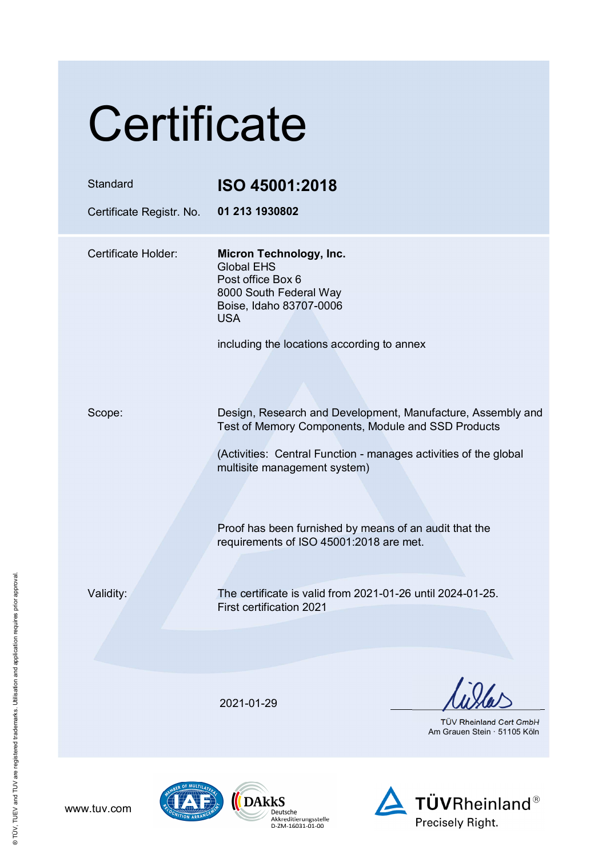| Certificate                          |                                                                                                                                                                                                                                                                                                                            |
|--------------------------------------|----------------------------------------------------------------------------------------------------------------------------------------------------------------------------------------------------------------------------------------------------------------------------------------------------------------------------|
| Standard<br>Certificate Registr. No. | ISO 45001:2018<br>01 213 1930802                                                                                                                                                                                                                                                                                           |
| Certificate Holder:                  | Micron Technology, Inc.<br><b>Global EHS</b><br>Post office Box 6<br>8000 South Federal Way<br>Boise, Idaho 83707-0006<br><b>USA</b><br>including the locations according to annex                                                                                                                                         |
| Scope:                               | Design, Research and Development, Manufacture, Assembly and<br>Test of Memory Components, Module and SSD Products<br>(Activities: Central Function - manages activities of the global<br>multisite management system)<br>Proof has been furnished by means of an audit that the<br>requirements of ISO 45001:2018 are met. |
| Validity:                            | The certificate is valid from 2021-01-26 until 2024-01-25.<br>First certification 2021                                                                                                                                                                                                                                     |
|                                      | 2021-01-29<br><b>TÜV Rheinland Cert GmbH</b><br>Am Grauen Stein · 51105 Köln                                                                                                                                                                                                                                               |





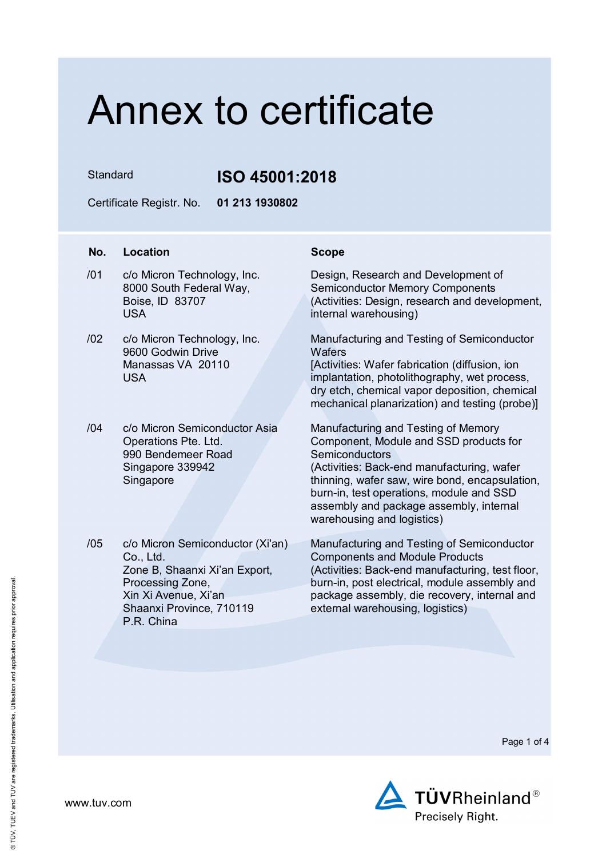Standard **ISO 45001:2018**

Certificate Registr. No. **01 213 1930802** 

## **No. Location Scope**

- /01 c/o Micron Technology, Inc. 8000 South Federal Way, Boise, ID 83707 USA
- /02 c/o Micron Technology, Inc. 9600 Godwin Drive Manassas VA 20110 USA
- /04 c/o Micron Semiconductor Asia Operations Pte. Ltd. 990 Bendemeer Road Singapore 339942 **Singapore**
- /05 c/o Micron Semiconductor (Xi'an) Co., Ltd. Zone B, Shaanxi Xi'an Export, Processing Zone, Xin Xi Avenue, Xi'an Shaanxi Province, 710119 P.R. China

Design, Research and Development of Semiconductor Memory Components (Activities: Design, research and development, internal warehousing)

Manufacturing and Testing of Semiconductor **Wafers** 

[Activities: Wafer fabrication (diffusion, ion implantation, photolithography, wet process, dry etch, chemical vapor deposition, chemical mechanical planarization) and testing (probe)]

Manufacturing and Testing of Memory Component, Module and SSD products for **Semiconductors** (Activities: Back-end manufacturing, wafer thinning, wafer saw, wire bond, encapsulation, burn-in, test operations, module and SSD assembly and package assembly, internal warehousing and logistics)

Manufacturing and Testing of Semiconductor Components and Module Products (Activities: Back-end manufacturing, test floor, burn-in, post electrical, module assembly and package assembly, die recovery, internal and external warehousing, logistics)

Page 1 of 4

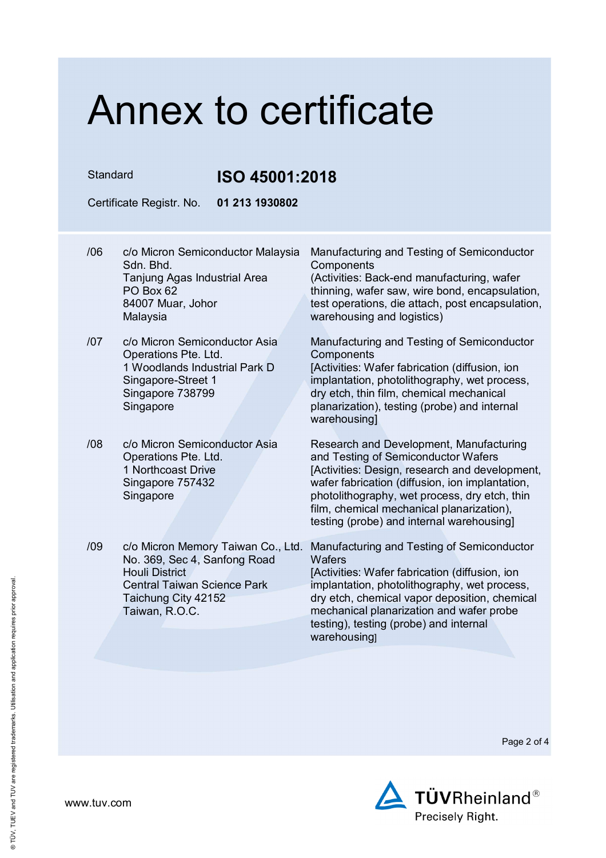## Standard **ISO 45001:2018**

Certificate Registr. No. **01 213 1930802** 

- /06 c/o Micron Semiconductor Malaysia Sdn. Bhd. Tanjung Agas Industrial Area PO Box 62 84007 Muar, Johor Malaysia
- /07 c/o Micron Semiconductor Asia Operations Pte. Ltd. 1 Woodlands Industrial Park D Singapore-Street 1 Singapore 738799 **Singapore**
- /08 c/o Micron Semiconductor Asia Operations Pte. Ltd. 1 Northcoast Drive Singapore 757432 Singapore
- No. 369, Sec 4, Sanfong Road Houli District Central Taiwan Science Park Taichung City 42152 Taiwan, R.O.C.

Manufacturing and Testing of Semiconductor **Components** 

(Activities: Back-end manufacturing, wafer thinning, wafer saw, wire bond, encapsulation, test operations, die attach, post encapsulation, warehousing and logistics)

Manufacturing and Testing of Semiconductor **Components** 

[Activities: Wafer fabrication (diffusion, ion implantation, photolithography, wet process, dry etch, thin film, chemical mechanical planarization), testing (probe) and internal warehousing]

Research and Development, Manufacturing and Testing of Semiconductor Wafers [Activities: Design, research and development, wafer fabrication (diffusion, ion implantation, photolithography, wet process, dry etch, thin film, chemical mechanical planarization). testing (probe) and internal warehousing]

/09 c/o Micron Memory Taiwan Co., Ltd. Manufacturing and Testing of Semiconductor **Wafers** [Activities: Wafer fabrication (diffusion, ion implantation, photolithography, wet process, dry etch, chemical vapor deposition, chemical mechanical planarization and wafer probe testing), testing (probe) and internal warehousing]

Page 2 of 4



www.tuv.com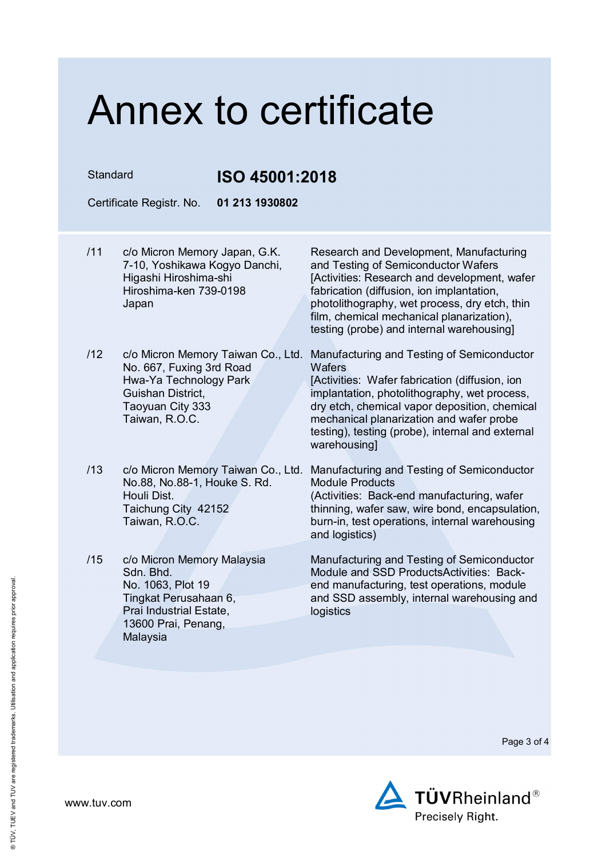Standard **ISO 45001:2018**

Certificate Registr. No. **01 213 1930802** 

- /11 c/o Micron Memory Japan, G.K. 7-10, Yoshikawa Kogyo Danchi, Higashi Hiroshima-shi Hiroshima-ken 739-0198 Japan Research and Development, Manufacturing and Testing of Semiconductor Wafers [Activities: Research and development, wafer fabrication (diffusion, ion implantation, photolithography, wet process, dry etch, thin film, chemical mechanical planarization), testing (probe) and internal warehousing] /12 c/o Micron Memory Taiwan Co., Ltd. Manufacturing and Testing of Semiconductor No. 667, Fuxing 3rd Road Hwa-Ya Technology Park Guishan District, **Wafers** [Activities: Wafer fabrication (diffusion, ion
	- implantation, photolithography, wet process, dry etch, chemical vapor deposition, chemical mechanical planarization and wafer probe testing), testing (probe), internal and external warehousing<sub>l</sub>
- /13 c/o Micron Memory Taiwan Co., Ltd. Manufacturing and Testing of Semiconductor No.88, No.88-1, Houke S. Rd. Houli Dist. Taichung City 42152 Taiwan, R.O.C.
- /15 c/o Micron Memory Malaysia Sdn. Bhd. No. 1063, Plot 19 Tingkat Perusahaan 6, Prai Industrial Estate, 13600 Prai, Penang, Malaysia

Taoyuan City 333 Taiwan, R.O.C.

> Module Products (Activities: Back-end manufacturing, wafer thinning, wafer saw, wire bond, encapsulation, burn-in, test operations, internal warehousing and logistics)

> Manufacturing and Testing of Semiconductor Module and SSD ProductsActivities: Backend manufacturing, test operations, module and SSD assembly, internal warehousing and logistics

> > Page 3 of 4